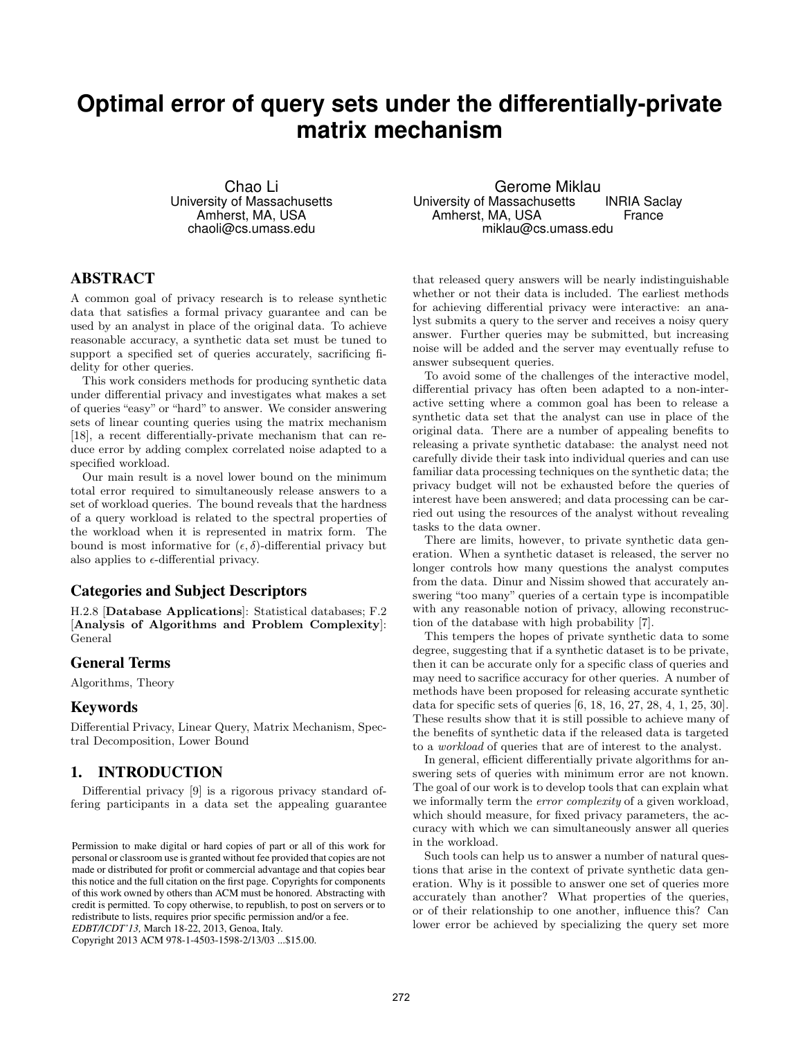# **Optimal error of query sets under the differentially-private matrix mechanism**

Chao Li University of Massachusetts Amherst, MA, USA chaoli@cs.umass.edu

# ABSTRACT

A common goal of privacy research is to release synthetic data that satisfies a formal privacy guarantee and can be used by an analyst in place of the original data. To achieve reasonable accuracy, a synthetic data set must be tuned to support a specified set of queries accurately, sacrificing fidelity for other queries.

This work considers methods for producing synthetic data under differential privacy and investigates what makes a set of queries "easy" or "hard" to answer. We consider answering sets of linear counting queries using the matrix mechanism [18], a recent differentially-private mechanism that can reduce error by adding complex correlated noise adapted to a specified workload.

Our main result is a novel lower bound on the minimum total error required to simultaneously release answers to a set of workload queries. The bound reveals that the hardness of a query workload is related to the spectral properties of the workload when it is represented in matrix form. The bound is most informative for  $(\epsilon, \delta)$ -differential privacy but also applies to  $\epsilon$ -differential privacy.

# Categories and Subject Descriptors

H.2.8 [Database Applications]: Statistical databases; F.2 [Analysis of Algorithms and Problem Complexity]: General

## General Terms

Algorithms, Theory

## Keywords

Differential Privacy, Linear Query, Matrix Mechanism, Spectral Decomposition, Lower Bound

## 1. INTRODUCTION

Differential privacy [9] is a rigorous privacy standard offering participants in a data set the appealing guarantee

Copyright 2013 ACM 978-1-4503-1598-2/13/03 ...\$15.00.

Gerome Miklau University of Massachusetts INRIA Saclay<br>Amherst. MA. USA France Amherst, MA, USA miklau@cs.umass.edu

that released query answers will be nearly indistinguishable whether or not their data is included. The earliest methods for achieving differential privacy were interactive: an analyst submits a query to the server and receives a noisy query answer. Further queries may be submitted, but increasing noise will be added and the server may eventually refuse to answer subsequent queries.

To avoid some of the challenges of the interactive model, differential privacy has often been adapted to a non-interactive setting where a common goal has been to release a synthetic data set that the analyst can use in place of the original data. There are a number of appealing benefits to releasing a private synthetic database: the analyst need not carefully divide their task into individual queries and can use familiar data processing techniques on the synthetic data; the privacy budget will not be exhausted before the queries of interest have been answered; and data processing can be carried out using the resources of the analyst without revealing tasks to the data owner.

There are limits, however, to private synthetic data generation. When a synthetic dataset is released, the server no longer controls how many questions the analyst computes from the data. Dinur and Nissim showed that accurately answering "too many" queries of a certain type is incompatible with any reasonable notion of privacy, allowing reconstruction of the database with high probability [7].

This tempers the hopes of private synthetic data to some degree, suggesting that if a synthetic dataset is to be private, then it can be accurate only for a specific class of queries and may need to sacrifice accuracy for other queries. A number of methods have been proposed for releasing accurate synthetic data for specific sets of queries [6, 18, 16, 27, 28, 4, 1, 25, 30]. These results show that it is still possible to achieve many of the benefits of synthetic data if the released data is targeted to a workload of queries that are of interest to the analyst.

In general, efficient differentially private algorithms for answering sets of queries with minimum error are not known. The goal of our work is to develop tools that can explain what we informally term the error complexity of a given workload, which should measure, for fixed privacy parameters, the accuracy with which we can simultaneously answer all queries in the workload.

Such tools can help us to answer a number of natural questions that arise in the context of private synthetic data generation. Why is it possible to answer one set of queries more accurately than another? What properties of the queries, or of their relationship to one another, influence this? Can lower error be achieved by specializing the query set more

Permission to make digital or hard copies of part or all of this work for personal or classroom use is granted without fee provided that copies are not made or distributed for profit or commercial advantage and that copies bear this notice and the full citation on the first page. Copyrights for components of this work owned by others than ACM must be honored. Abstracting with credit is permitted. To copy otherwise, to republish, to post on servers or to redistribute to lists, requires prior specific permission and/or a fee. *EDBT/ICDT'13,* March 18-22, 2013, Genoa, Italy.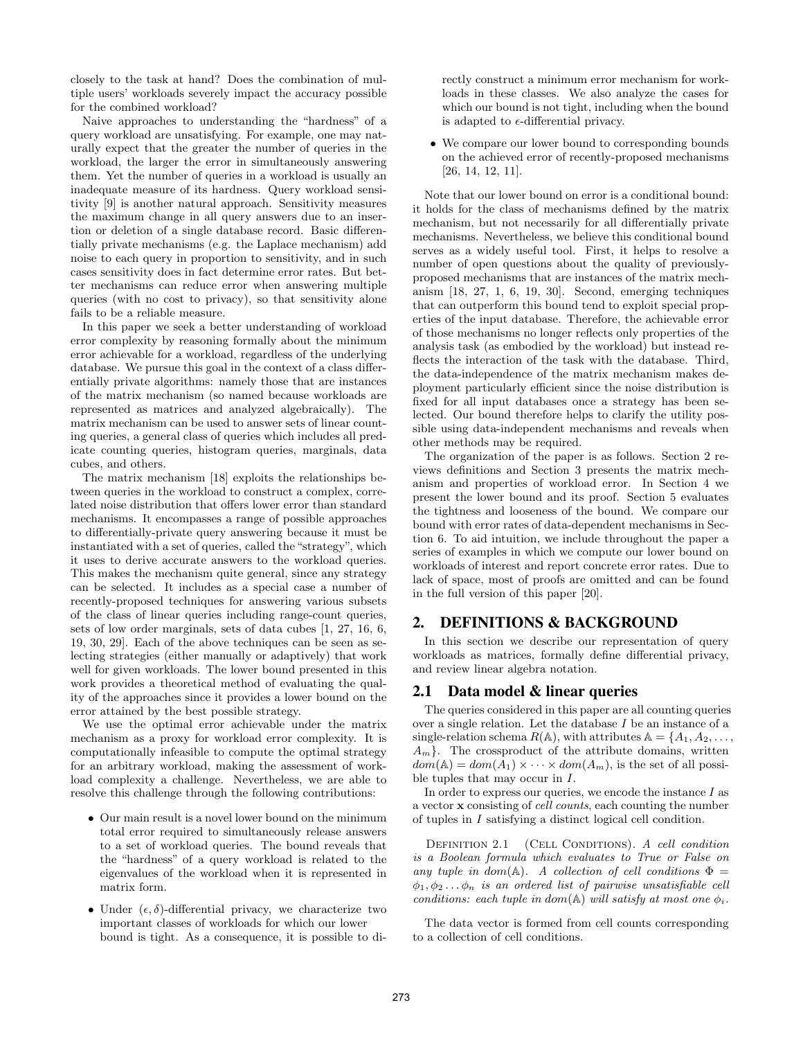closely to the task at hand? Does the combination of multiple users' workloads severely impact the accuracy possible for the combined workload?

Naive approaches to understanding the "hardness" of a query workload are unsatisfying. For example, one may naturally expect that the greater the number of queries in the workload, the larger the error in simultaneously answering them. Yet the number of queries in a workload is usually an inadequate measure of its hardness. Query workload sensitivity [9] is another natural approach. Sensitivity measures the maximum change in all query answers due to an insertion or deletion of a single database record. Basic differentially private mechanisms (e.g. the Laplace mechanism) add noise to each query in proportion to sensitivity, and in such cases sensitivity does in fact determine error rates. But better mechanisms can reduce error when answering multiple queries (with no cost to privacy), so that sensitivity alone fails to be a reliable measure.

In this paper we seek a better understanding of workload error complexity by reasoning formally about the minimum error achievable for a workload, regardless of the underlying database. We pursue this goal in the context of a class differentially private algorithms: namely those that are instances of the matrix mechanism (so named because workloads are represented as matrices and analyzed algebraically). The matrix mechanism can be used to answer sets of linear counting queries, a general class of queries which includes all predicate counting queries, histogram queries, marginals, data cubes, and others.

The matrix mechanism [18] exploits the relationships between queries in the workload to construct a complex, correlated noise distribution that offers lower error than standard mechanisms. It encompasses a range of possible approaches to differentially-private query answering because it must be instantiated with a set of queries, called the "strategy", which it uses to derive accurate answers to the workload queries. This makes the mechanism quite general, since any strategy can be selected. It includes as a special case a number of recently-proposed techniques for answering various subsets of the class of linear queries including range-count queries, sets of low order marginals, sets of data cubes [1, 27, 16, 6, 19, 30, 29]. Each of the above techniques can be seen as selecting strategies (either manually or adaptively) that work well for given workloads. The lower bound presented in this work provides a theoretical method of evaluating the quality of the approaches since it provides a lower bound on the error attained by the best possible strategy.

We use the optimal error achievable under the matrix mechanism as a proxy for workload error complexity. It is computationally infeasible to compute the optimal strategy for an arbitrary workload, making the assessment of workload complexity a challenge. Nevertheless, we are able to resolve this challenge through the following contributions:

- Our main result is a novel lower bound on the minimum total error required to simultaneously release answers to a set of workload queries. The bound reveals that the "hardness" of a query workload is related to the eigenvalues of the workload when it is represented in matrix form.
- Under  $(\epsilon, \delta)$ -differential privacy, we characterize two important classes of workloads for which our lower bound is tight. As a consequence, it is possible to di-

rectly construct a minimum error mechanism for workloads in these classes. We also analyze the cases for which our bound is not tight, including when the bound is adapted to  $\epsilon$ -differential privacy.

• We compare our lower bound to corresponding bounds on the achieved error of recently-proposed mechanisms [26, 14, 12, 11].

Note that our lower bound on error is a conditional bound: it holds for the class of mechanisms defined by the matrix mechanism, but not necessarily for all differentially private mechanisms. Nevertheless, we believe this conditional bound serves as a widely useful tool. First, it helps to resolve a number of open questions about the quality of previouslyproposed mechanisms that are instances of the matrix mechanism [18, 27, 1, 6, 19, 30]. Second, emerging techniques that can outperform this bound tend to exploit special properties of the input database. Therefore, the achievable error of those mechanisms no longer reflects only properties of the analysis task (as embodied by the workload) but instead reflects the interaction of the task with the database. Third, the data-independence of the matrix mechanism makes deployment particularly efficient since the noise distribution is fixed for all input databases once a strategy has been selected. Our bound therefore helps to clarify the utility possible using data-independent mechanisms and reveals when other methods may be required.

The organization of the paper is as follows. Section 2 reviews definitions and Section 3 presents the matrix mechanism and properties of workload error. In Section 4 we present the lower bound and its proof. Section 5 evaluates the tightness and looseness of the bound. We compare our bound with error rates of data-dependent mechanisms in Section 6. To aid intuition, we include throughout the paper a series of examples in which we compute our lower bound on workloads of interest and report concrete error rates. Due to lack of space, most of proofs are omitted and can be found in the full version of this paper [20].

## 2. DEFINITIONS & BACKGROUND

In this section we describe our representation of query workloads as matrices, formally define differential privacy, and review linear algebra notation.

#### 2.1 Data model & linear queries

The queries considered in this paper are all counting queries over a single relation. Let the database I be an instance of a single-relation schema  $R(\mathbb{A})$ , with attributes  $\mathbb{A} = \{A_1, A_2, \ldots, A_n\}$  $A_m$ . The crossproduct of the attribute domains, written  $dom(\mathbb{A}) = dom(A_1) \times \cdots \times dom(A_m)$ , is the set of all possible tuples that may occur in I.

In order to express our queries, we encode the instance  $I$  as a vector x consisting of cell counts, each counting the number of tuples in I satisfying a distinct logical cell condition.

DEFINITION 2.1 (CELL CONDITIONS). A cell condition is a Boolean formula which evaluates to True or False on any tuple in dom( $\mathbb{A}$ ). A collection of cell conditions  $\Phi =$  $\phi_1, \phi_2 \ldots \phi_n$  is an ordered list of pairwise unsatisfiable cell conditions: each tuple in dom(A) will satisfy at most one  $\phi_i$ .

The data vector is formed from cell counts corresponding to a collection of cell conditions.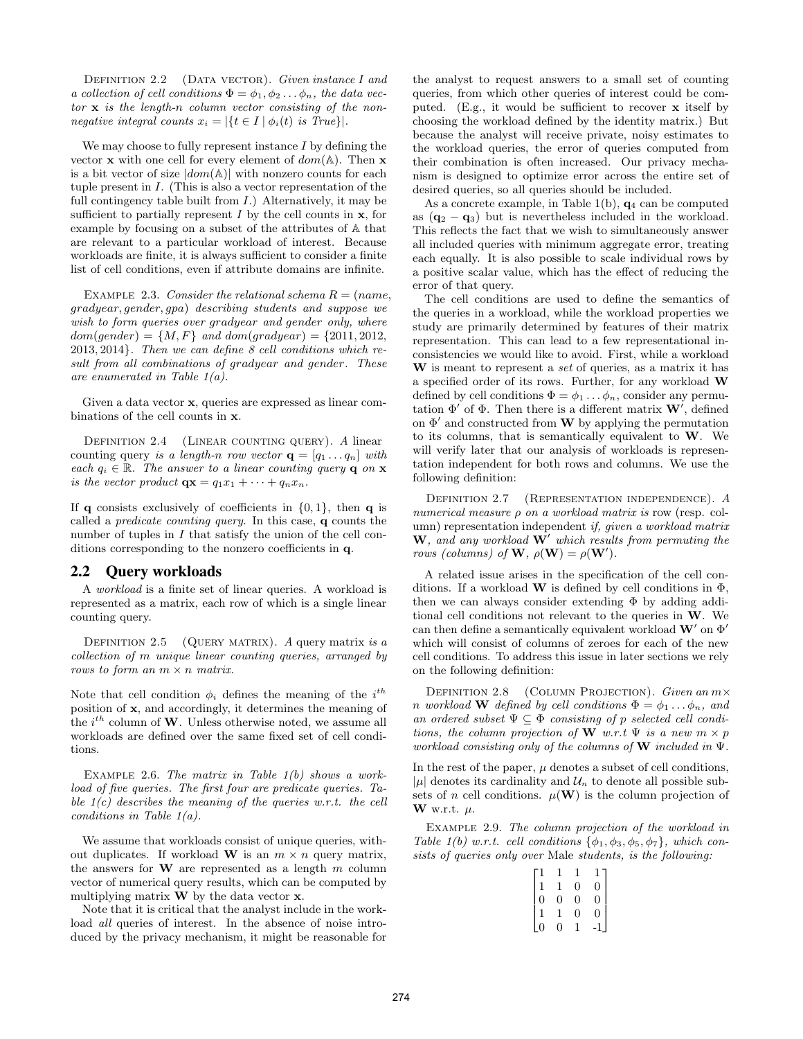DEFINITION 2.2 (DATA VECTOR). Given instance I and a collection of cell conditions  $\Phi = \phi_1, \phi_2 \dots \phi_n$ , the data vec $tor \times is$  the length-n column vector consisting of the nonnegative integral counts  $x_i = |\{t \in I \mid \phi_i(t) \text{ is True}\}|.$ 

We may choose to fully represent instance  $I$  by defining the vector **x** with one cell for every element of  $dom(A)$ . Then **x** is a bit vector of size  $|dom(\mathbb{A})|$  with nonzero counts for each tuple present in I. (This is also a vector representation of the full contingency table built from  $I$ .) Alternatively, it may be sufficient to partially represent  $I$  by the cell counts in  $x$ , for example by focusing on a subset of the attributes of A that are relevant to a particular workload of interest. Because workloads are finite, it is always sufficient to consider a finite list of cell conditions, even if attribute domains are infinite.

EXAMPLE 2.3. Consider the relational schema  $R = (name,$ gradyear, gender, gpa) describing students and suppose we wish to form queries over gradyear and gender only, where  $dom(qender) = \{M, F\}$  and  $dom(qradyear) = \{2011, 2012,$ 2013, 2014}. Then we can define 8 cell conditions which result from all combinations of gradyear and gender. These are enumerated in Table 1(a).

Given a data vector x, queries are expressed as linear combinations of the cell counts in x.

DEFINITION 2.4 (LINEAR COUNTING QUERY). A linear counting query is a length-n row vector  $\mathbf{q} = [q_1 \dots q_n]$  with each  $q_i \in \mathbb{R}$ . The answer to a linear counting query **q** on **x** is the vector product  $\mathbf{q} \mathbf{x} = q_1 x_1 + \cdots + q_n x_n$ .

If q consists exclusively of coefficients in  $\{0, 1\}$ , then q is called a predicate counting query. In this case, q counts the number of tuples in  $I$  that satisfy the union of the cell conditions corresponding to the nonzero coefficients in q.

#### 2.2 Query workloads

A workload is a finite set of linear queries. A workload is represented as a matrix, each row of which is a single linear counting query.

DEFINITION 2.5 (QUERY MATRIX). A query matrix is a collection of m unique linear counting queries, arranged by rows to form an  $m \times n$  matrix.

Note that cell condition  $\phi_i$  defines the meaning of the  $i^{th}$ position of x, and accordingly, it determines the meaning of the  $i^{th}$  column of W. Unless otherwise noted, we assume all workloads are defined over the same fixed set of cell conditions.

EXAMPLE 2.6. The matrix in Table  $1(b)$  shows a workload of five queries. The first four are predicate queries. Table  $1(c)$  describes the meaning of the queries w.r.t. the cell conditions in Table 1(a).

We assume that workloads consist of unique queries, without duplicates. If workload **W** is an  $m \times n$  query matrix, the answers for  $W$  are represented as a length  $m$  column vector of numerical query results, which can be computed by multiplying matrix  $\bf{W}$  by the data vector  $\bf{x}$ .

Note that it is critical that the analyst include in the workload *all* queries of interest. In the absence of noise introduced by the privacy mechanism, it might be reasonable for the analyst to request answers to a small set of counting queries, from which other queries of interest could be computed. (E.g., it would be sufficient to recover  $\bf{x}$  itself by choosing the workload defined by the identity matrix.) But because the analyst will receive private, noisy estimates to the workload queries, the error of queries computed from their combination is often increased. Our privacy mechanism is designed to optimize error across the entire set of desired queries, so all queries should be included.

As a concrete example, in Table 1(b),  $q_4$  can be computed as  $(q_2 - q_3)$  but is nevertheless included in the workload. This reflects the fact that we wish to simultaneously answer all included queries with minimum aggregate error, treating each equally. It is also possible to scale individual rows by a positive scalar value, which has the effect of reducing the error of that query.

The cell conditions are used to define the semantics of the queries in a workload, while the workload properties we study are primarily determined by features of their matrix representation. This can lead to a few representational inconsistencies we would like to avoid. First, while a workload W is meant to represent a set of queries, as a matrix it has a specified order of its rows. Further, for any workload W defined by cell conditions  $\Phi = \phi_1 \dots \phi_n$ , consider any permutation  $\Phi'$  of  $\Phi$ . Then there is a different matrix  $\mathbf{W}'$ , defined on  $\Phi'$  and constructed from **W** by applying the permutation to its columns, that is semantically equivalent to  $W$ . We will verify later that our analysis of workloads is representation independent for both rows and columns. We use the following definition:

Definition 2.7 (Representation independence). A numerical measure ρ on a workload matrix is row (resp. column) representation independent if, given a workload matrix  $\mathbf{W}$ , and any workload  $\mathbf{W}'$  which results from permuting the rows (columns) of **W**,  $\rho(\mathbf{W}) = \rho(\mathbf{W}')$ .

A related issue arises in the specification of the cell conditions. If a workload **W** is defined by cell conditions in  $\Phi$ , then we can always consider extending  $\Phi$  by adding additional cell conditions not relevant to the queries in W. We can then define a semantically equivalent workload  $\mathbf{W}'$  on  $\Phi'$ which will consist of columns of zeroes for each of the new cell conditions. To address this issue in later sections we rely on the following definition:

DEFINITION 2.8 (COLUMN PROJECTION). Given an  $m \times$ n workload **W** defined by cell conditions  $\Phi = \phi_1 \dots \phi_n$ , and an ordered subset  $\Psi \subseteq \Phi$  consisting of p selected cell conditions, the column projection of W w.r.t  $\Psi$  is a new  $m \times p$ workload consisting only of the columns of  $W$  included in  $\Psi$ .

In the rest of the paper,  $\mu$  denotes a subset of cell conditions,  $|\mu|$  denotes its cardinality and  $\mathcal{U}_n$  to denote all possible subsets of n cell conditions.  $\mu(\mathbf{W})$  is the column projection of W w.r.t.  $\mu$ .

EXAMPLE 2.9. The column projection of the workload in Table 1(b) w.r.t. cell conditions  $\{\phi_1, \phi_3, \phi_5, \phi_7\}$ , which consists of queries only over Male students, is the following:

|                |                | $\overline{0}$ | $\begin{bmatrix} 1 \\ 0 \end{bmatrix}$ |
|----------------|----------------|----------------|----------------------------------------|
| $\overline{0}$ | $\overline{0}$ | $\overline{0}$ | $\frac{1}{0}$                          |
|                |                | $\overline{0}$ | $\check{0}$                            |
|                | 0              |                |                                        |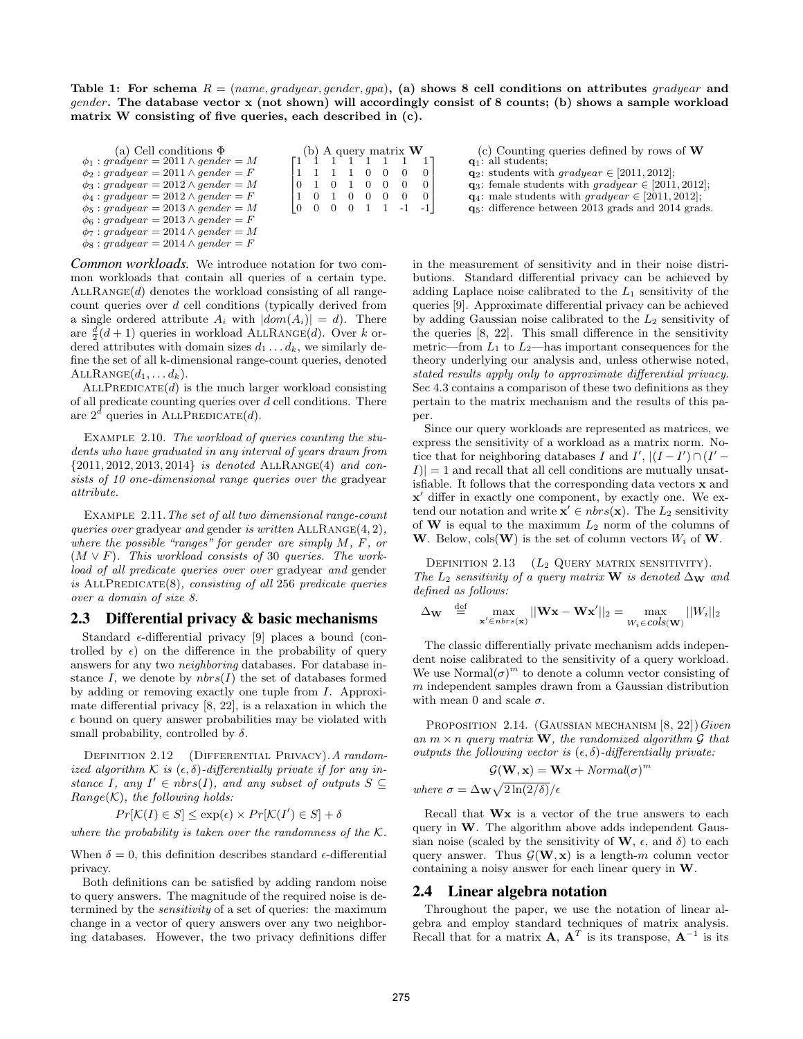Table 1: For schema  $R = (name, grade, gender, gpa)$ , (a) shows 8 cell conditions on attributes gradyear and gender. The database vector x (not shown) will accordingly consist of 8 counts; (b) shows a sample workload matrix W consisting of five queries, each described in (c).

| (a) Cell conditions $\Phi$<br>$\phi_1$ : gràdyear = 2011 $\wedge$ gender = M<br>$\phi_2$ : gradyear = 2011 $\wedge$ gender = F<br>$\phi_3$ : gradyear = 2012 $\wedge$ gender = M<br>$\phi_4: gradyear = 2012 \wedge gender = F$<br>$\phi_5: gradyear = 2013 \wedge gender = M$<br>$\phi_6: gradyear = 2013 \wedge gender = F$<br>$\phi_7: gradyear = 2014 \wedge gender = M$ | 1 1 1 1 0 0<br>10 1 0 1 0 0 0<br>101000 |  |  | (b) A query matrix $W$ | $\begin{bmatrix} 1 & 1 & 1 & 1 & 1 & 1 & 1 & 1 \end{bmatrix}$<br>$\begin{bmatrix} 0 & 0 & 0 & 0 & 1 & 1 & -1 & -1 \end{bmatrix}$ | (c) Counting queries defined by rows of $W$<br>$q_1$ : all students;<br>$\mathbf{q}_2$ : students with gradyear $\in$ [2011, 2012];<br>$\mathbf{q}_3$ : female students with $\mathit{gradyear} \in [2011, 2012]$ ;<br>$\mathbf{q}_4$ : male students with gradyear $\in$ [2011, 2012];<br>$q_5$ : difference between 2013 grads and 2014 grads. |
|------------------------------------------------------------------------------------------------------------------------------------------------------------------------------------------------------------------------------------------------------------------------------------------------------------------------------------------------------------------------------|-----------------------------------------|--|--|------------------------|----------------------------------------------------------------------------------------------------------------------------------|--------------------------------------------------------------------------------------------------------------------------------------------------------------------------------------------------------------------------------------------------------------------------------------------------------------------------------------------------|
| $\phi_8: gradyear = 2014 \wedge gender = F$                                                                                                                                                                                                                                                                                                                                  |                                         |  |  |                        |                                                                                                                                  |                                                                                                                                                                                                                                                                                                                                                  |

*Common workloads.* We introduce notation for two common workloads that contain all queries of a certain type.  $ALLRANGE(d)$  denotes the workload consisting of all rangecount queries over d cell conditions (typically derived from a single ordered attribute  $A_i$  with  $|dom(A_i)| = d$ . There are  $\frac{d}{2}(d+1)$  queries in workload ALLRANGE(d). Over k ordered attributes with domain sizes  $d_1 \ldots d_k$ , we similarly define the set of all k-dimensional range-count queries, denoted  $\text{ALLRANGE}(d_1, \ldots d_k).$ 

 $ALLPREDICATE(d)$  is the much larger workload consisting of all predicate counting queries over d cell conditions. There are  $2^{\bar{d}}$  queries in ALLPREDICATE $(d)$ .

EXAMPLE 2.10. The workload of queries counting the students who have graduated in any interval of years drawn from  ${2011, 2012, 2013, 2014}$  is denoted ALLRANGE(4) and consists of 10 one-dimensional range queries over the gradyear attribute.

EXAMPLE 2.11. The set of all two dimensional range-count queries over gradyear and gender is written  $ALLRANGE(4, 2)$ , where the possible "ranges" for gender are simply M, F, or  $(M \vee F)$ . This workload consists of 30 queries. The workload of all predicate queries over over gradyear and gender is ALLPREDICATE $(8)$ , consisting of all 256 predicate queries over a domain of size 8.

## 2.3 Differential privacy & basic mechanisms

Standard  $\epsilon$ -differential privacy [9] places a bound (controlled by  $\epsilon$ ) on the difference in the probability of query answers for any two neighboring databases. For database instance I, we denote by  $nbrs(I)$  the set of databases formed by adding or removing exactly one tuple from I. Approximate differential privacy [8, 22], is a relaxation in which the  $\epsilon$  bound on query answer probabilities may be violated with small probability, controlled by  $\delta$ .

DEFINITION 2.12 (DIFFERENTIAL PRIVACY). A randomized algorithm K is  $(\epsilon, \delta)$ -differentially private if for any instance I, any  $I' \in nbrs(I)$ , and any subset of outputs  $S \subseteq$  $Range(K)$ , the following holds:

$$
Pr[\mathcal{K}(I) \in S] \le \exp(\epsilon) \times Pr[\mathcal{K}(I') \in S] + \delta
$$

where the probability is taken over the randomness of the  $K$ .

When  $\delta = 0$ , this definition describes standard  $\epsilon$ -differential privacy.

Both definitions can be satisfied by adding random noise to query answers. The magnitude of the required noise is determined by the sensitivity of a set of queries: the maximum change in a vector of query answers over any two neighboring databases. However, the two privacy definitions differ

in the measurement of sensitivity and in their noise distributions. Standard differential privacy can be achieved by adding Laplace noise calibrated to the  $L_1$  sensitivity of the queries [9]. Approximate differential privacy can be achieved by adding Gaussian noise calibrated to the  $L_2$  sensitivity of the queries [8, 22]. This small difference in the sensitivity metric—from  $L_1$  to  $L_2$ —has important consequences for the theory underlying our analysis and, unless otherwise noted, stated results apply only to approximate differential privacy. Sec 4.3 contains a comparison of these two definitions as they pertain to the matrix mechanism and the results of this paper.

Since our query workloads are represented as matrices, we express the sensitivity of a workload as a matrix norm. Notice that for neighboring databases I and  $I'$ ,  $|(I - I') \cap (I' - I')|$  $|I| = 1$  and recall that all cell conditions are mutually unsatisfiable. It follows that the corresponding data vectors  $x$  and x' differ in exactly one component, by exactly one. We extend our notation and write  $\mathbf{x}' \in nbrs(\mathbf{x})$ . The  $L_2$  sensitivity of **W** is equal to the maximum  $L_2$  norm of the columns of W. Below,  $cols(W)$  is the set of column vectors  $W_i$  of W.

DEFINITION 2.13  $(L_2 \text{ QUERY MATRIX SENSITIVITY}).$ The  $L_2$  sensitivity of a query matrix W is denoted  $\Delta_{\mathbf{W}}$  and defined as follows:

$$
\Delta_{\mathbf{W}} \stackrel{\text{def}}{=} \max_{\mathbf{x}' \in \text{nbrs}(\mathbf{x})} ||\mathbf{W}\mathbf{x} - \mathbf{W}\mathbf{x}'||_2 = \max_{W_i \in \text{cols}(\mathbf{W})} ||W_i||_2
$$

The classic differentially private mechanism adds independent noise calibrated to the sensitivity of a query workload. We use  $Normal(\sigma)^m$  to denote a column vector consisting of  $m$  independent samples drawn from a Gaussian distribution with mean 0 and scale  $\sigma$ .

PROPOSITION 2.14. (GAUSSIAN MECHANISM  $[8, 22]$ ) Given an  $m \times n$  query matrix **W**, the randomized algorithm G that outputs the following vector is  $(\epsilon, \delta)$ -differentially private:

$$
\mathcal{G}(\mathbf{W}, \mathbf{x}) = \mathbf{W}\mathbf{x} + Normal(\sigma)^m
$$
  
where  $\sigma = \Delta_{\mathbf{W}} \sqrt{2 \ln(2/\delta)}/\epsilon$ 

Recall that Wx is a vector of the true answers to each query in W. The algorithm above adds independent Gaussian noise (scaled by the sensitivity of  $W$ ,  $\epsilon$ , and  $\delta$ ) to each query answer. Thus  $\mathcal{G}(\mathbf{W}, \mathbf{x})$  is a length-m column vector containing a noisy answer for each linear query in W.

#### 2.4 Linear algebra notation

Throughout the paper, we use the notation of linear algebra and employ standard techniques of matrix analysis. Recall that for a matrix  $\mathbf{A}, \mathbf{A}^T$  is its transpose,  $\mathbf{A}^{-1}$  is its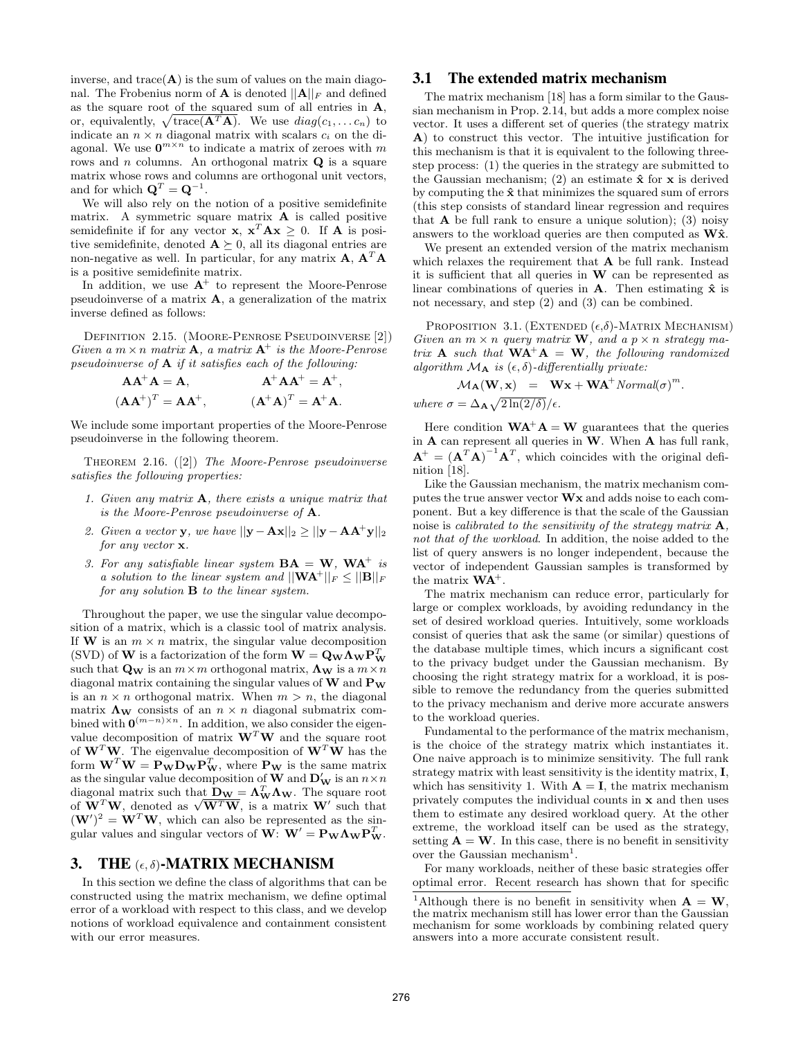inverse, and  $trace(A)$  is the sum of values on the main diagonal. The Frobenius norm of **A** is denoted  $||A||_F$  and defined as the square root of the squared sum of all entries in A, or, equivalently,  $\sqrt{\text{trace}(\mathbf{A}^T\mathbf{A})}$ . We use  $diag(c_1, \ldots c_n)$  to indicate an  $n \times n$  diagonal matrix with scalars  $c_i$  on the diagonal. We use  $\mathbf{0}^{m \times n}$  to indicate a matrix of zeroes with m rows and n columns. An orthogonal matrix  $Q$  is a square matrix whose rows and columns are orthogonal unit vectors, and for which  $\mathbf{Q}^T = \mathbf{Q}^{-1}$ .

We will also rely on the notion of a positive semidefinite matrix. A symmetric square matrix A is called positive semidefinite if for any vector **x**,  $\mathbf{x}^T \mathbf{A} \mathbf{x} \geq 0$ . If **A** is positive semidefinite, denoted  $\mathbf{A} \succeq 0$ , all its diagonal entries are non-negative as well. In particular, for any matrix  $\mathbf{A}, \mathbf{A}^T \mathbf{A}$ is a positive semidefinite matrix.

In addition, we use  $A^+$  to represent the Moore-Penrose pseudoinverse of a matrix A, a generalization of the matrix inverse defined as follows:

Definition 2.15. (Moore-Penrose Pseudoinverse [2]) Given a  $m \times n$  matrix **A**, a matrix **A**<sup>+</sup> is the Moore-Penrose pseudoinverse of  $A$  if it satisfies each of the following:

$$
AA^{+}A = A, \t A^{+}AA^{+} = A^{+},
$$
  

$$
(AA^{+})^{T} = AA^{+}, \t (A^{+}A)^{T} = A^{+}A.
$$

We include some important properties of the Moore-Penrose pseudoinverse in the following theorem.

THEOREM 2.16.  $([2])$  The Moore-Penrose pseudoinverse satisfies the following properties:

- 1. Given any matrix  $\bf{A}$ , there exists a unique matrix that is the Moore-Penrose pseudoinverse of A.
- 2. Given a vector y, we have  $||\mathbf{y}-\mathbf{A}\mathbf{x}||_2 \ge ||\mathbf{y}-\mathbf{A}\mathbf{A}^+\mathbf{y}||_2$ for any vector x.
- 3. For any satisfiable linear system  $BA = W$ ,  $WA^+$  is a solution to the linear system and  $||\mathbf{W}\mathbf{A}^+||_F \leq ||\mathbf{B}||_F$ for any solution B to the linear system.

Throughout the paper, we use the singular value decomposition of a matrix, which is a classic tool of matrix analysis. If **W** is an  $m \times n$  matrix, the singular value decomposition (SVD) of **W** is a factorization of the form  $\mathbf{W} = \mathbf{Q}_{\mathbf{W}} \mathbf{\Lambda}_{\mathbf{W}} \mathbf{P}_{\mathbf{W}}^T$ such that  $\mathbf{Q}_w$  is an  $m \times m$  orthogonal matrix,  $\mathbf{\Lambda}_w$  is a  $m \times n$ diagonal matrix containing the singular values of  $W$  and  $P_W$ is an  $n \times n$  orthogonal matrix. When  $m > n$ , the diagonal matrix  $\Lambda_W$  consists of an  $n \times n$  diagonal submatrix combined with  $\mathbf{0}^{(m-n)\times n}$ . In addition, we also consider the eigenvalue decomposition of matrix  $W<sup>T</sup>W$  and the square root of  $W<sup>T</sup>W$ . The eigenvalue decomposition of  $W<sup>T</sup>W$  has the form  $\mathbf{W}^T \mathbf{W} = \mathbf{P}_{\mathbf{W}} \mathbf{D}_{\mathbf{W}} \mathbf{P}_{\mathbf{W}}^T$ , where  $\mathbf{P}_{\mathbf{W}}$  is the same matrix as the singular value decomposition of **W** and  $\mathbf{D}'_{\mathbf{W}}$  is an  $n \times n$ diagonal matrix such that  $\mathbf{D_W} = \Lambda_W^T \Lambda_W$ . The square root diagonal matrix such that  $\mathbf{D_W} = \Lambda_W^T \Lambda_W$ . The square root<br>of  $\mathbf{W}^T \mathbf{W}$ , denoted as  $\sqrt{\mathbf{W}^T \mathbf{W}}$ , is a matrix  $\mathbf{W}'$  such that  $(\mathbf{W}')^2 = \mathbf{W}^T \mathbf{W}$ , which can also be represented as the singular values and singular vectors of  $\mathbf{W}$ :  $\mathbf{W}' = \mathbf{P}_{\mathbf{W}} \Lambda_{\mathbf{W}} \mathbf{P}_{\mathbf{W}}^T$ .

## 3. THE  $(\epsilon, \delta)$ -MATRIX MECHANISM

In this section we define the class of algorithms that can be constructed using the matrix mechanism, we define optimal error of a workload with respect to this class, and we develop notions of workload equivalence and containment consistent with our error measures.

## 3.1 The extended matrix mechanism

The matrix mechanism [18] has a form similar to the Gaussian mechanism in Prop. 2.14, but adds a more complex noise vector. It uses a different set of queries (the strategy matrix A) to construct this vector. The intuitive justification for this mechanism is that it is equivalent to the following threestep process: (1) the queries in the strategy are submitted to the Gaussian mechanism; (2) an estimate  $\hat{\mathbf{x}}$  for  $\mathbf{x}$  is derived by computing the  $\hat{x}$  that minimizes the squared sum of errors (this step consists of standard linear regression and requires that **A** be full rank to ensure a unique solution); (3) noisy answers to the workload queries are then computed as  $W\hat{x}$ .

We present an extended version of the matrix mechanism which relaxes the requirement that **A** be full rank. Instead it is sufficient that all queries in W can be represented as linear combinations of queries in  $A$ . Then estimating  $\hat{x}$  is not necessary, and step (2) and (3) can be combined.

PROPOSITION 3.1. (EXTENDED  $(\epsilon, \delta)$ -MATRIX MECHANISM) Given an  $m \times n$  query matrix **W**, and a  $p \times n$  strategy matrix **A** such that  $WA^+A = W$ , the following randomized algorithm  $\mathcal{M}_{\mathbf{A}}$  is  $(\epsilon, \delta)$ -differentially private:

$$
\mathcal{M}_{\mathbf{A}}(\mathbf{W}, \mathbf{x}) = \mathbf{W}\mathbf{x} + \mathbf{W}\mathbf{A}^{+} \text{Normal}(\sigma)^{m}.
$$
  
where  $\sigma = \Delta_{\mathbf{A}} \sqrt{2 \ln(2/\delta)}/\epsilon$ .

Here condition  $WA^{+}A = W$  guarantees that the queries in A can represent all queries in W. When A has full rank,  $A^+ = (A^T A)^{-1} A^T$ , which coincides with the original definition [18].

Like the Gaussian mechanism, the matrix mechanism computes the true answer vector Wx and adds noise to each component. But a key difference is that the scale of the Gaussian noise is calibrated to the sensitivity of the strategy matrix  $\mathbf{A}$ , not that of the workload. In addition, the noise added to the list of query answers is no longer independent, because the vector of independent Gaussian samples is transformed by the matrix  $WA^+$ .

The matrix mechanism can reduce error, particularly for large or complex workloads, by avoiding redundancy in the set of desired workload queries. Intuitively, some workloads consist of queries that ask the same (or similar) questions of the database multiple times, which incurs a significant cost to the privacy budget under the Gaussian mechanism. By choosing the right strategy matrix for a workload, it is possible to remove the redundancy from the queries submitted to the privacy mechanism and derive more accurate answers to the workload queries.

Fundamental to the performance of the matrix mechanism, is the choice of the strategy matrix which instantiates it. One naive approach is to minimize sensitivity. The full rank strategy matrix with least sensitivity is the identity matrix, I, which has sensitivity 1. With  $A = I$ , the matrix mechanism privately computes the individual counts in x and then uses them to estimate any desired workload query. At the other extreme, the workload itself can be used as the strategy, setting  $A = W$ . In this case, there is no benefit in sensitivity over the Gaussian mechanism<sup>1</sup>.

For many workloads, neither of these basic strategies offer optimal error. Recent research has shown that for specific

<sup>&</sup>lt;sup>1</sup>Although there is no benefit in sensitivity when  $A = W$ , the matrix mechanism still has lower error than the Gaussian mechanism for some workloads by combining related query answers into a more accurate consistent result.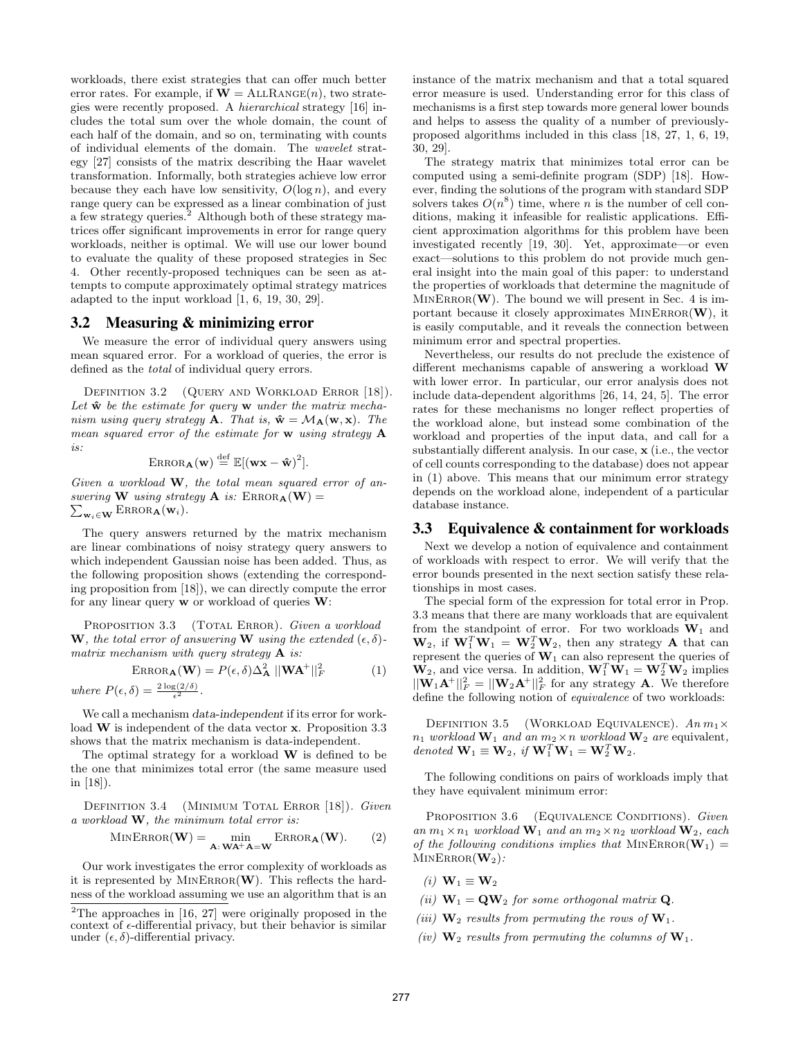workloads, there exist strategies that can offer much better error rates. For example, if  $W = \text{ALLRange}(n)$ , two strategies were recently proposed. A hierarchical strategy [16] includes the total sum over the whole domain, the count of each half of the domain, and so on, terminating with counts of individual elements of the domain. The wavelet strategy [27] consists of the matrix describing the Haar wavelet transformation. Informally, both strategies achieve low error because they each have low sensitivity,  $O(\log n)$ , and every range query can be expressed as a linear combination of just a few strategy queries.<sup>2</sup> Although both of these strategy matrices offer significant improvements in error for range query workloads, neither is optimal. We will use our lower bound to evaluate the quality of these proposed strategies in Sec 4. Other recently-proposed techniques can be seen as attempts to compute approximately optimal strategy matrices adapted to the input workload [1, 6, 19, 30, 29].

## 3.2 Measuring & minimizing error

We measure the error of individual query answers using mean squared error. For a workload of queries, the error is defined as the total of individual query errors.

DEFINITION 3.2 (QUERY AND WORKLOAD ERROR [18]). Let  $\hat{\mathbf{w}}$  be the estimate for query  $\mathbf{w}$  under the matrix mechanism using query strategy **A**. That is,  $\hat{\mathbf{w}} = \mathcal{M}_{\mathbf{A}}(\mathbf{w}, \mathbf{x})$ . The mean squared error of the estimate for w using strategy A is:

$$
\text{ERROR}_{\mathbf{A}}(\mathbf{w}) \stackrel{\text{def}}{=} \mathbb{E}[(\mathbf{w}\mathbf{x} - \mathbf{\hat{w}})^2].
$$

Given a workload  $W$ , the total mean squared error of answering **W** using strategy **A** is:  $\text{ERROR}_{\mathbf{A}}(\mathbf{W}) =$  $\sum_{\mathbf{w}_i \in \mathbf{W}} \text{ERROR}_{\mathbf{A}}(\mathbf{w}_i).$ 

The query answers returned by the matrix mechanism are linear combinations of noisy strategy query answers to which independent Gaussian noise has been added. Thus, as the following proposition shows (extending the corresponding proposition from [18]), we can directly compute the error for any linear query w or workload of queries W:

PROPOSITION 3.3 (TOTAL ERROR). Given a workload **W**, the total error of answering **W** using the extended  $(\epsilon, \delta)$ matrix mechanism with query strategy  $\bf{A}$  is:

$$
\text{ERROR}_{\mathbf{A}}(\mathbf{W}) = P(\epsilon, \delta) \Delta_{\mathbf{A}}^2 ||\mathbf{W} \mathbf{A}^+||_F^2 \tag{1}
$$
  
where  $P(\epsilon, \delta) = \frac{2 \log(2/\delta)}{\epsilon^2}$ .

We call a mechanism data-independent if its error for workload W is independent of the data vector x. Proposition 3.3 shows that the matrix mechanism is data-independent.

The optimal strategy for a workload  $W$  is defined to be the one that minimizes total error (the same measure used in [18]).

DEFINITION 3.4 (MINIMUM TOTAL ERROR [18]). Given a workload W, the minimum total error is:

$$
MINERROR(\mathbf{W}) = \min_{\mathbf{A}: \mathbf{W}\mathbf{A}^+\mathbf{A}=\mathbf{W}} ERROR_{\mathbf{A}}(\mathbf{W}).
$$
 (2)

Our work investigates the error complexity of workloads as it is represented by  $MINEROR(W)$ . This reflects the hardness of the workload assuming we use an algorithm that is an

instance of the matrix mechanism and that a total squared error measure is used. Understanding error for this class of mechanisms is a first step towards more general lower bounds and helps to assess the quality of a number of previouslyproposed algorithms included in this class [18, 27, 1, 6, 19, 30, 29].

The strategy matrix that minimizes total error can be computed using a semi-definite program (SDP) [18]. However, finding the solutions of the program with standard SDP solvers takes  $O(n^8)$  time, where *n* is the number of cell conditions, making it infeasible for realistic applications. Efficient approximation algorithms for this problem have been investigated recently [19, 30]. Yet, approximate—or even exact—solutions to this problem do not provide much general insight into the main goal of this paper: to understand the properties of workloads that determine the magnitude of  $MINEROR(\mathbf{W})$ . The bound we will present in Sec. 4 is important because it closely approximates  $MINERROR(\mathbf{W})$ , it is easily computable, and it reveals the connection between minimum error and spectral properties.

Nevertheless, our results do not preclude the existence of different mechanisms capable of answering a workload W with lower error. In particular, our error analysis does not include data-dependent algorithms [26, 14, 24, 5]. The error rates for these mechanisms no longer reflect properties of the workload alone, but instead some combination of the workload and properties of the input data, and call for a substantially different analysis. In our case, x (i.e., the vector of cell counts corresponding to the database) does not appear in (1) above. This means that our minimum error strategy depends on the workload alone, independent of a particular database instance.

#### 3.3 Equivalence & containment for workloads

Next we develop a notion of equivalence and containment of workloads with respect to error. We will verify that the error bounds presented in the next section satisfy these relationships in most cases.

The special form of the expression for total error in Prop. 3.3 means that there are many workloads that are equivalent from the standpoint of error. For two workloads  $W_1$  and  $\mathbf{W}_2$ , if  $\mathbf{W}_1^T \mathbf{W}_1 = \mathbf{W}_2^T \mathbf{W}_2$ , then any strategy **A** that can represent the queries of  $W_1$  can also represent the queries of  $\mathbf{W}_2$ , and vice versa. In addition,  $\mathbf{W}_1^T \mathbf{W}_1 = \mathbf{W}_2^T \mathbf{W}_2$  implies  $||\mathbf{W}_1\mathbf{A}^+||_F^2 = ||\mathbf{W}_2\mathbf{A}^+||_F^2$  for any strategy **A**. We therefore define the following notion of equivalence of two workloads:

DEFINITION 3.5 (WORKLOAD EQUIVALENCE).  $An\ m_1\times$  $n_1$  workload  $\mathbf{W}_1$  and an  $m_2 \times n$  workload  $\mathbf{W}_2$  are equivalent, denoted  $\mathbf{W}_1 \equiv \mathbf{W}_2$ , if  $\mathbf{W}_1^T \mathbf{W}_1 = \mathbf{W}_2^T \mathbf{W}_2$ .

The following conditions on pairs of workloads imply that they have equivalent minimum error:

PROPOSITION 3.6 (EQUIVALENCE CONDITIONS). Given an  $m_1 \times n_1$  workload  $\mathbf{W}_1$  and an  $m_2 \times n_2$  workload  $\mathbf{W}_2$ , each of the following conditions implies that  $MinEROR(\mathbf{W}_1) =$  $MINERROR(\mathbf{W}_2)$ :

(i)  $\mathbf{W}_1 \equiv \mathbf{W}_2$ 

- (ii)  $W_1 = QW_2$  for some orthogonal matrix Q.
- (iii)  $\mathbf{W}_2$  results from permuting the rows of  $\mathbf{W}_1$ .
- (iv)  $\mathbf{W}_2$  results from permuting the columns of  $\mathbf{W}_1$ .

 $2$ <sup>2</sup>The approaches in [16, 27] were originally proposed in the context of  $\epsilon$ -differential privacy, but their behavior is similar under  $(\epsilon, \delta)$ -differential privacy.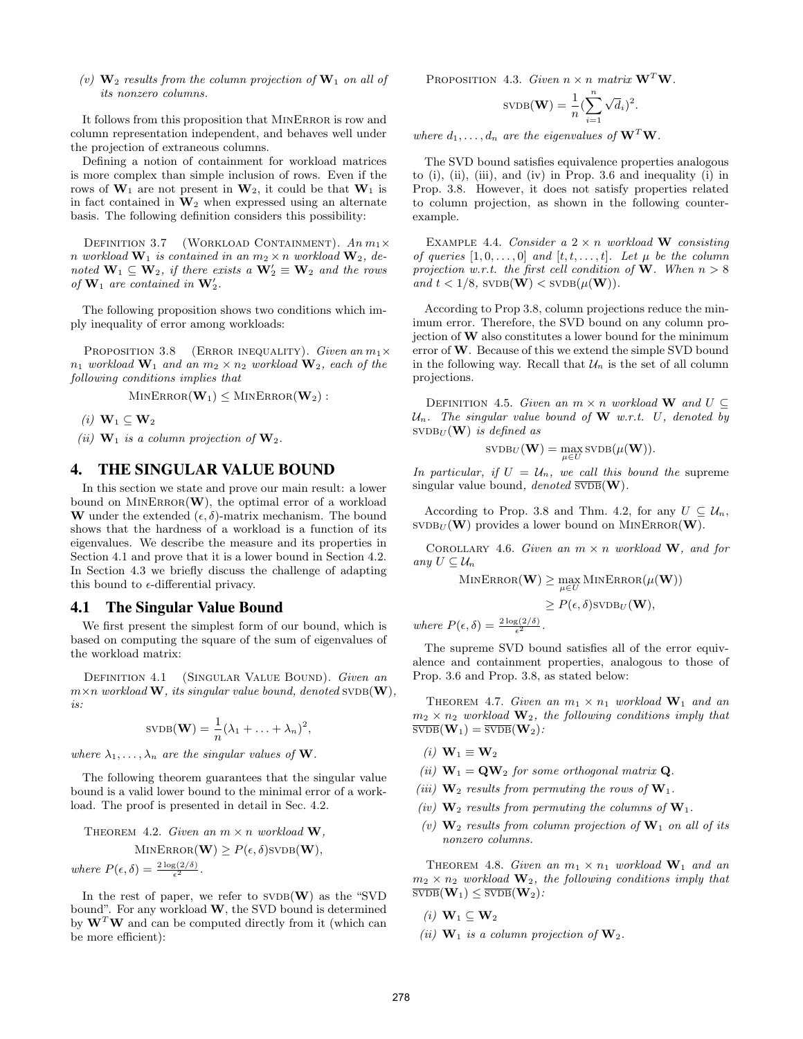(v)  $\mathbf{W}_2$  results from the column projection of  $\mathbf{W}_1$  on all of its nonzero columns.

It follows from this proposition that MinError is row and column representation independent, and behaves well under the projection of extraneous columns.

Defining a notion of containment for workload matrices is more complex than simple inclusion of rows. Even if the rows of  $W_1$  are not present in  $W_2$ , it could be that  $W_1$  is in fact contained in  $W_2$  when expressed using an alternate basis. The following definition considers this possibility:

DEFINITION 3.7 (WORKLOAD CONTAINMENT).  $An\ m_1\times$ n workload  $\mathbf{W}_1$  is contained in an  $m_2 \times n$  workload  $\mathbf{W}_2$ , denoted  $\mathbf{W}_1 \subseteq \mathbf{W}_2$ , if there exists a  $\mathbf{W}_2' \equiv \mathbf{W}_2$  and the rows of  $\mathbf{W}_1$  are contained in  $\mathbf{W}_2'$ .

The following proposition shows two conditions which imply inequality of error among workloads:

PROPOSITION 3.8 (ERROR INEQUALITY). Given an  $m_1 \times$  $n_1$  workload  $\mathbf{W}_1$  and an  $m_2 \times n_2$  workload  $\mathbf{W}_2$ , each of the following conditions implies that

 $MINERROR(W_1) \leq MINERROR(W_2)$ :

(i)  $\mathbf{W}_1 \subseteq \mathbf{W}_2$ 

(ii)  $\mathbf{W}_1$  is a column projection of  $\mathbf{W}_2$ .

## 4. THE SINGULAR VALUE BOUND

In this section we state and prove our main result: a lower bound on  $MINEROR(W)$ , the optimal error of a workload W under the extended  $(\epsilon, \delta)$ -matrix mechanism. The bound shows that the hardness of a workload is a function of its eigenvalues. We describe the measure and its properties in Section 4.1 and prove that it is a lower bound in Section 4.2. In Section 4.3 we briefly discuss the challenge of adapting this bound to  $\epsilon$ -differential privacy.

#### 4.1 The Singular Value Bound

We first present the simplest form of our bound, which is based on computing the square of the sum of eigenvalues of the workload matrix:

DEFINITION 4.1 (SINGULAR VALUE BOUND). Given an  $m \times n$  workload **W**, its singular value bound, denoted SVDB(**W**), is:

$$
SVDB(\mathbf{W}) = \frac{1}{n}(\lambda_1 + \ldots + \lambda_n)^2
$$

,

where  $\lambda_1, \ldots, \lambda_n$  are the singular values of **W**.

The following theorem guarantees that the singular value bound is a valid lower bound to the minimal error of a workload. The proof is presented in detail in Sec. 4.2.

THEOREM 4.2. Given an 
$$
m \times n
$$
 workload **W**,  
\nMINEROR(**W**)  $\geq P(\epsilon, \delta)$ SVDB(**W**),  
\nwhere  $P(\epsilon, \delta) = \frac{2 \log(2/\delta)}{\epsilon^2}$ .

In the rest of paper, we refer to  $SVD$  as the "SVD bound". For any workload  $W$ , the SVD bound is determined by  $W<sup>T</sup>W$  and can be computed directly from it (which can be more efficient):

PROPOSITION 4.3. Given  $n \times n$  matrix  $\mathbf{W}^T \mathbf{W}$ .

$$
\text{svdb}(\mathbf{W}) = \frac{1}{n} \left( \sum_{i=1}^{n} \sqrt{d_i} \right)^2.
$$

where  $d_1, \ldots, d_n$  are the eigenvalues of  $\mathbf{W}^T \mathbf{W}$ .

The SVD bound satisfies equivalence properties analogous to (i), (ii), (iii), and (iv) in Prop. 3.6 and inequality (i) in Prop. 3.8. However, it does not satisfy properties related to column projection, as shown in the following counterexample.

EXAMPLE 4.4. Consider a  $2 \times n$  workload W consisting of queries  $[1, 0, \ldots, 0]$  and  $[t, t, \ldots, t]$ . Let  $\mu$  be the column projection w.r.t. the first cell condition of W. When  $n > 8$ and  $t < 1/8$ , SVDB(**W**)  $<$  SVDB( $\mu$ **W**)).

According to Prop 3.8, column projections reduce the minimum error. Therefore, the SVD bound on any column projection of W also constitutes a lower bound for the minimum error of W. Because of this we extend the simple SVD bound in the following way. Recall that  $\mathcal{U}_n$  is the set of all column projections.

DEFINITION 4.5. Given an  $m \times n$  workload W and  $U \subseteq$  $\mathcal{U}_n$ . The singular value bound of **W** w.r.t. U, denoted by  $SVDB_U$  (W) is defined as

$$
\mathrm{SVDB}_{U}(\mathbf{W}) = \max_{\mu \in U} \mathrm{SVDB}(\mu(\mathbf{W})).
$$

In particular, if  $U = U_n$ , we call this bound the supreme singular value bound, denoted  $\overline{\text{svp}}(\mathbf{W})$ .

According to Prop. 3.8 and Thm. 4.2, for any  $U \subseteq \mathcal{U}_n$ ,  $SVDB_U$  (W) provides a lower bound on MINERROR(W).

COROLLARY 4.6. Given an  $m \times n$  workload W, and for any  $U \subseteq \mathcal{U}_n$ 

$$
\mathrm{MINERROR}(\mathbf{W}) \ge \max_{\mu \in U} \mathrm{MINERROR}(\mu(\mathbf{W}))
$$

$$
\geq P(\epsilon,\delta) \text{svdb}_U(\mathbf{W}),
$$

where  $P(\epsilon, \delta) = \frac{2 \log(2/\delta)}{\epsilon^2}$ .

The supreme SVD bound satisfies all of the error equivalence and containment properties, analogous to those of Prop. 3.6 and Prop. 3.8, as stated below:

THEOREM 4.7. Given an  $m_1 \times n_1$  workload  $\mathbf{W}_1$  and an  $m_2 \times n_2$  workload  $\mathbf{W}_2$ , the following conditions imply that  $\overline{\text{svDB}}(\mathbf{W}_1) = \overline{\text{svDB}}(\mathbf{W}_2)$ :

- (i)  $\mathbf{W}_1 \equiv \mathbf{W}_2$
- (ii)  $W_1 = QW_2$  for some orthogonal matrix Q.
- (iii)  $W_2$  results from permuting the rows of  $W_1$ .
- (iv)  $\mathbf{W}_2$  results from permuting the columns of  $\mathbf{W}_1$ .
- (v)  $\mathbf{W}_2$  results from column projection of  $\mathbf{W}_1$  on all of its nonzero columns.

THEOREM 4.8. Given an  $m_1 \times n_1$  workload  $W_1$  and an  $m_2 \times n_2$  workload  $\mathbf{W}_2$ , the following conditions imply that  $\overline{\text{svDB}}(\mathbf{W}_1) \leq \overline{\text{svDB}}(\mathbf{W}_2)$ :

- (i)  $\mathbf{W}_1 \subseteq \mathbf{W}_2$
- (ii)  $\mathbf{W}_1$  is a column projection of  $\mathbf{W}_2$ .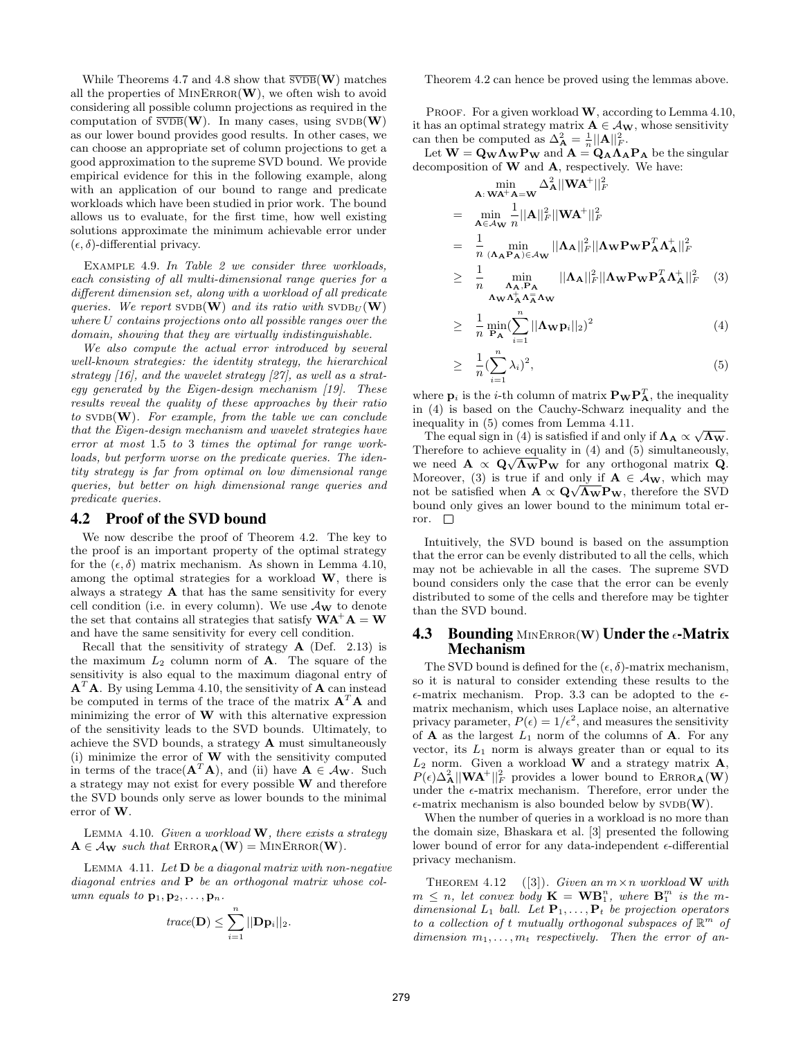While Theorems 4.7 and 4.8 show that  $\overline{\text{SVDB}}(\mathbf{W})$  matches all the properties of  $MINEROR(\mathbf{W})$ , we often wish to avoid considering all possible column projections as required in the computation of  $\overline{\text{SVDB}}(\mathbf{W})$ . In many cases, using  $\text{SVDB}(\mathbf{W})$ as our lower bound provides good results. In other cases, we can choose an appropriate set of column projections to get a good approximation to the supreme SVD bound. We provide empirical evidence for this in the following example, along with an application of our bound to range and predicate workloads which have been studied in prior work. The bound allows us to evaluate, for the first time, how well existing solutions approximate the minimum achievable error under  $(\epsilon, \delta)$ -differential privacy.

Example 4.9. In Table 2 we consider three workloads, each consisting of all multi-dimensional range queries for a different dimension set, along with a workload of all predicate queries. We report SVDB(W) and its ratio with  $SVDB_U(W)$ where U contains projections onto all possible ranges over the domain, showing that they are virtually indistinguishable.

We also compute the actual error introduced by several well-known strategies: the identity strategy, the hierarchical strategy [16], and the wavelet strategy [27], as well as a strategy generated by the Eigen-design mechanism [19]. These results reveal the quality of these approaches by their ratio to  $SVDB(W)$ . For example, from the table we can conclude that the Eigen-design mechanism and wavelet strategies have error at most 1.5 to 3 times the optimal for range workloads, but perform worse on the predicate queries. The identity strategy is far from optimal on low dimensional range queries, but better on high dimensional range queries and predicate queries.

#### 4.2 Proof of the SVD bound

We now describe the proof of Theorem 4.2. The key to the proof is an important property of the optimal strategy for the  $(\epsilon, \delta)$  matrix mechanism. As shown in Lemma 4.10, among the optimal strategies for a workload W, there is always a strategy  $A$  that has the same sensitivity for every cell condition (i.e. in every column). We use  $\mathcal{A}_{\mathbf{W}}$  to denote the set that contains all strategies that satisfy  $WA^{+}A = W$ and have the same sensitivity for every cell condition.

Recall that the sensitivity of strategy  $A$  (Def. 2.13) is the maximum  $L_2$  column norm of **A**. The square of the sensitivity is also equal to the maximum diagonal entry of  $A<sup>T</sup>A$ . By using Lemma 4.10, the sensitivity of A can instead be computed in terms of the trace of the matrix  $A<sup>T</sup>A$  and minimizing the error of  $W$  with this alternative expression of the sensitivity leads to the SVD bounds. Ultimately, to achieve the SVD bounds, a strategy A must simultaneously (i) minimize the error of  $W$  with the sensitivity computed in terms of the trace( $\mathbf{A}^T \mathbf{A}$ ), and (ii) have  $\mathbf{A} \in \mathcal{A}_{\mathbf{W}}$ . Such a strategy may not exist for every possible W and therefore the SVD bounds only serve as lower bounds to the minimal error of W.

LEMMA 4.10. Given a workload  $W$ , there exists a strategy  $A \in A_{\mathbf{W}}$  such that  $\text{ERROR}_{\mathbf{A}}(\mathbf{W}) = \text{MINERROR}(\mathbf{W}).$ 

LEMMA 4.11. Let  $D$  be a diagonal matrix with non-negative diagonal entries and  $P$  be an orthogonal matrix whose column equals to  $\mathbf{p}_1, \mathbf{p}_2, \ldots, \mathbf{p}_n$ .

$$
trace(\mathbf{D}) \leq \sum_{i=1}^{n} ||\mathbf{D}\mathbf{p}_i||_2.
$$

Theorem 4.2 can hence be proved using the lemmas above.

PROOF. For a given workload  $W$ , according to Lemma 4.10, it has an optimal strategy matrix  $A \in \mathcal{A}_{W}$ , whose sensitivity can then be computed as  $\Delta_{\mathbf{A}}^2 = \frac{1}{n} ||\mathbf{A}||_F^2$ .

Let  $\mathbf{W} = \mathbf{Q}_{\mathbf{W}} \mathbf{\Lambda}_{\mathbf{W}} \mathbf{P}_{\mathbf{W}}$  and  $\mathbf{A} = \mathbf{Q}_{\mathbf{A}} \mathbf{\Lambda}_{\mathbf{A}} \mathbf{P}_{\mathbf{A}}$  be the singular decomposition of  $W$  and  $A$ , respectively. We have:

$$
\begin{split}\n&\min_{\mathbf{A}: \mathbf{W} \mathbf{A}^{+} \mathbf{A} = \mathbf{W}} \Delta_{\mathbf{A}}^{2} ||\mathbf{W} \mathbf{A}^{+}||_{F}^{2} \\
&= \min_{\mathbf{A} \in \mathcal{A}_{\mathbf{W}}} \frac{1}{n} ||\mathbf{A}||_{F}^{2} ||\mathbf{W} \mathbf{A}^{+}||_{F}^{2} \\
&= \frac{1}{n} \min_{(\mathbf{\Lambda}_{\mathbf{A}} \mathbf{P}_{\mathbf{A}}) \in \mathcal{A}_{\mathbf{W}}} ||\mathbf{\Lambda}_{\mathbf{A}}||_{F}^{2} ||\mathbf{\Lambda}_{\mathbf{W}} \mathbf{P}_{\mathbf{W}} \mathbf{P}_{\mathbf{A}}^{T} \mathbf{\Lambda}_{\mathbf{A}}^{+}||_{F}^{2} \\
&\geq \frac{1}{n} \min_{\mathbf{\Lambda}_{\mathbf{A}}, \mathbf{P}_{\mathbf{A}}} ||\mathbf{\Lambda}_{\mathbf{A}}||_{F}^{2} ||\mathbf{\Lambda}_{\mathbf{W}} \mathbf{P}_{\mathbf{W}} \mathbf{P}_{\mathbf{A}}^{T} \mathbf{\Lambda}_{\mathbf{A}}^{+}||_{F}^{2} \n\end{split} \tag{3}
$$

$$
\geq \frac{1}{n} \min_{\mathbf{P_A}} \left( \sum_{i=1}^n ||\mathbf{\Lambda_W} \mathbf{p}_i||_2 \right)^2 \tag{4}
$$

$$
\geq \frac{1}{n} \left(\sum_{i=1}^{n} \lambda_i\right)^2,\tag{5}
$$

where  $\mathbf{p}_i$  is the *i*-th column of matrix  $\mathbf{P_W P_A^T}$ , the inequality in (4) is based on the Cauchy-Schwarz inequality and the inequality in (5) comes from Lemma 4.11.

equality in (5) comes from Lemma 4.11.<br>The equal sign in (4) is satisfied if and only if  $\Lambda_A \propto \sqrt{\Lambda_W}$ . Therefore to achieve equality in  $(4)$  and  $(5)$  simultaneously, we need  $\mathbf{A} \propto \mathbf{Q} \sqrt{\mathbf{\Lambda_W}} \mathbf{P_W}$  for any orthogonal matrix  $\mathbf{Q}$ . Moreover, (3) is true if and only if  $\mathbf{A} \in \mathcal{A}_{\mathbf{W}}$ , which may not be satisfied when  $\mathbf{A} \propto \mathbf{Q} \sqrt{\mathbf{\Lambda_W}} \mathbf{P_W}$ , therefore the SVD bound only gives an lower bound to the minimum total error.  $\square$ 

Intuitively, the SVD bound is based on the assumption that the error can be evenly distributed to all the cells, which may not be achievable in all the cases. The supreme SVD bound considers only the case that the error can be evenly distributed to some of the cells and therefore may be tighter than the SVD bound.

## **4.3** Bounding MINERROR(W) Under the  $\epsilon$ -Matrix Mechanism

The SVD bound is defined for the  $(\epsilon, \delta)$ -matrix mechanism, so it is natural to consider extending these results to the  $\epsilon$ -matrix mechanism. Prop. 3.3 can be adopted to the  $\epsilon$ matrix mechanism, which uses Laplace noise, an alternative privacy parameter,  $P(\epsilon) = 1/\epsilon^2$ , and measures the sensitivity of **A** as the largest  $L_1$  norm of the columns of **A**. For any vector, its  $L_1$  norm is always greater than or equal to its  $L_2$  norm. Given a workload **W** and a strategy matrix  $\mathbf{A}$ ,  $P(\epsilon) \Delta_{\bf A}^2 ||{\bf W}{\bf A}^+||_F^2$  provides a lower bound to ERROR $_{\bf A}({\bf W})$ under the  $\epsilon$ -matrix mechanism. Therefore, error under the  $\epsilon$ -matrix mechanism is also bounded below by SVDB(W).

When the number of queries in a workload is no more than the domain size, Bhaskara et al. [3] presented the following lower bound of error for any data-independent  $\epsilon$ -differential privacy mechanism.

THEOREM 4.12 ([3]). Given an  $m \times n$  workload **W** with  $m \leq n$ , let convex body  $\mathbf{K} = \mathbf{W} \mathbf{B}_{1}^{n}$ , where  $\mathbf{B}_{1}^{m}$  is the mdimensional  $L_1$  ball. Let  $\mathbf{P}_1, \ldots, \mathbf{P}_t$  be projection operators to a collection of t mutually orthogonal subspaces of  $\mathbb{R}^m$  of dimension  $m_1, \ldots, m_t$  respectively. Then the error of an-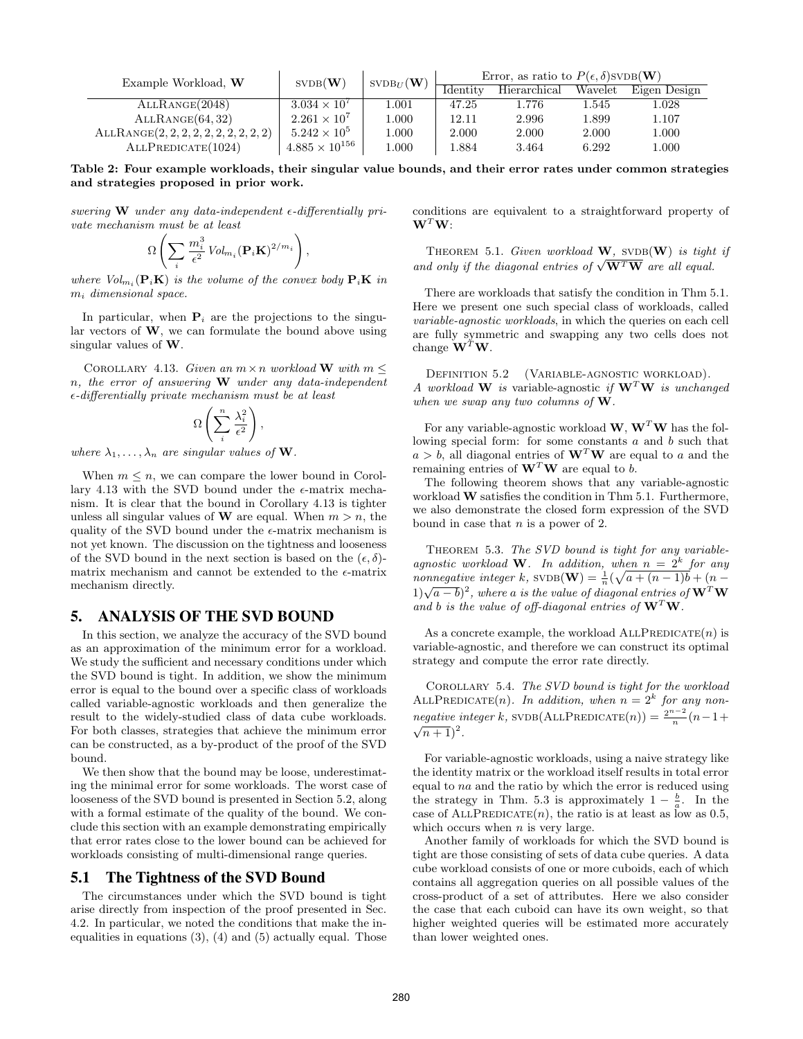| Example Workload, W                      | $SVDB(\mathbf{W})$      | $\text{SVDB}_{II}(\mathbf{W})$ | Error, as ratio to $P(\epsilon, \delta)$ SVDB( <b>W</b> ) |              |         |              |
|------------------------------------------|-------------------------|--------------------------------|-----------------------------------------------------------|--------------|---------|--------------|
|                                          |                         |                                | Identity                                                  | Hierarchical | Wavelet | Eigen Design |
| ALLRANGE(2048)                           | $3.034 \times 10^{7}$   | 1.001                          | 47.25                                                     | 1.776        | 1.545   | $1.028\,$    |
| ALLRANGE(64, 32)                         | $2.261 \times 10^{7}$   | 1.000                          | 12.11                                                     | 2.996        | 1.899   | 1.107        |
| $ALLRANGE(2, 2, 2, 2, 2, 2, 2, 2, 2, 2)$ | $5.242 \times 10^{5}$   | 1.000                          | 2.000                                                     | 2.000        | 2.000   | 1.000        |
| ALLPREDICATE(1024)                       | $4.885 \times 10^{156}$ | 1.000                          | 1.884                                                     | 3.464        | 6.292   | 1.000        |

Table 2: Four example workloads, their singular value bounds, and their error rates under common strategies and strategies proposed in prior work.

swering W under any data-independent  $\epsilon$ -differentially private mechanism must be at least

$$
\Omega\left(\sum_i \frac{m_i^3}{\epsilon^2}\mathit{Vol}_{m_i}(\mathbf{P}_i\mathbf{K})^{2/m_i}\right),
$$

where  $Vol_{m_i}(\mathbf{P}_i \mathbf{K})$  is the volume of the convex body  $\mathbf{P}_i \mathbf{K}$  in  $m_i$  dimensional space.

In particular, when  $P_i$  are the projections to the singular vectors of  $W$ , we can formulate the bound above using singular values of W.

COROLLARY 4.13. Given an  $m \times n$  workload W with  $m \leq$  $n$ , the error of answering  $\bf{W}$  under any data-independent  $\epsilon$ -differentially private mechanism must be at least

$$
\Omega\left(\sum_{i}^{n}\frac{\lambda_i^2}{\epsilon^2}\right),\
$$

where  $\lambda_1, \ldots, \lambda_n$  are singular values of **W**.

When  $m \leq n$ , we can compare the lower bound in Corollary 4.13 with the SVD bound under the  $\epsilon$ -matrix mechanism. It is clear that the bound in Corollary 4.13 is tighter unless all singular values of **W** are equal. When  $m > n$ , the quality of the SVD bound under the  $\epsilon$ -matrix mechanism is not yet known. The discussion on the tightness and looseness of the SVD bound in the next section is based on the  $(\epsilon, \delta)$ matrix mechanism and cannot be extended to the  $\epsilon$ -matrix mechanism directly.

## 5. ANALYSIS OF THE SVD BOUND

In this section, we analyze the accuracy of the SVD bound as an approximation of the minimum error for a workload. We study the sufficient and necessary conditions under which the SVD bound is tight. In addition, we show the minimum error is equal to the bound over a specific class of workloads called variable-agnostic workloads and then generalize the result to the widely-studied class of data cube workloads. For both classes, strategies that achieve the minimum error can be constructed, as a by-product of the proof of the SVD bound.

We then show that the bound may be loose, underestimating the minimal error for some workloads. The worst case of looseness of the SVD bound is presented in Section 5.2, along with a formal estimate of the quality of the bound. We conclude this section with an example demonstrating empirically that error rates close to the lower bound can be achieved for workloads consisting of multi-dimensional range queries.

#### 5.1 The Tightness of the SVD Bound

The circumstances under which the SVD bound is tight arise directly from inspection of the proof presented in Sec. 4.2. In particular, we noted the conditions that make the inequalities in equations  $(3)$ ,  $(4)$  and  $(5)$  actually equal. Those conditions are equivalent to a straightforward property of  $\mathbf{W}^T \mathbf{W}$ :

THEOREM 5.1. Given workload  $W$ , SVDB( $W$ ) is tight if and only if the diagonal entries of  $\sqrt{W^T W}$  are all equal.

There are workloads that satisfy the condition in Thm 5.1. Here we present one such special class of workloads, called variable-agnostic workloads, in which the queries on each cell are fully symmetric and swapping any two cells does not change  $\mathbf{W}^T \mathbf{W}$ .

DEFINITION 5.2 (VARIABLE-AGNOSTIC WORKLOAD). A workload W is variable-agnostic if  $W<sup>T</sup>W$  is unchanged when we swap any two columns of **W**.

For any variable-agnostic workload  $\mathbf{W}, \mathbf{W}^T \mathbf{W}$  has the following special form: for some constants  $a$  and  $b$  such that  $a > b$ , all diagonal entries of  $\mathbf{W}^T \mathbf{W}$  are equal to a and the remaining entries of  $\mathbf{W}^T \mathbf{W}$  are equal to b.

The following theorem shows that any variable-agnostic workload W satisfies the condition in Thm 5.1. Furthermore, we also demonstrate the closed form expression of the SVD bound in case that  $n$  is a power of 2.

THEOREM 5.3. The SVD bound is tight for any variableagnostic workload W. In addition, when  $n = 2<sup>k</sup>$  for any nonnegative integer k,  $SVDB(W) = \frac{1}{n}(\sqrt{a + (n-1)b} + (n-1))$ nonnegative integer  $\kappa$ , SVDB( $\mathbf{W}$ )  $-\frac{1}{n}(\nabla u + (n-1)\theta + (n-1)\theta)$ <br>1) $\sqrt{a-b}$ <sup>2</sup>, where a is the value of diagonal entries of  $\mathbf{W}^T\mathbf{W}$ and b is the value of off-diagonal entries of  $W<sup>T</sup>W$ .

As a concrete example, the workload  $ALLPREDICATE(n)$  is variable-agnostic, and therefore we can construct its optimal strategy and compute the error rate directly.

Corollary 5.4. The SVD bound is tight for the workload ALLPREDICATE(n). In addition, when  $n = 2<sup>k</sup>$  for any nonnegative integer k, SVDB(ALLPREDICATE $(n)$ ) =  $\frac{2^{n-2}}{n}$  $negative$  integer k, SVDB(ALLPREDICATE(n)) =  $\frac{2^{n-2}}{n}(n-1+\sqrt{m-1})$  $\overline{n+1}$ <sup>2</sup>.

For variable-agnostic workloads, using a naive strategy like the identity matrix or the workload itself results in total error equal to na and the ratio by which the error is reduced using the strategy in Thm. 5.3 is approximately  $1 - \frac{b}{a}$ . In the case of ALLPREDICATE $(n)$ , the ratio is at least as low as 0.5, which occurs when  $n$  is very large.

Another family of workloads for which the SVD bound is tight are those consisting of sets of data cube queries. A data cube workload consists of one or more cuboids, each of which contains all aggregation queries on all possible values of the cross-product of a set of attributes. Here we also consider the case that each cuboid can have its own weight, so that higher weighted queries will be estimated more accurately than lower weighted ones.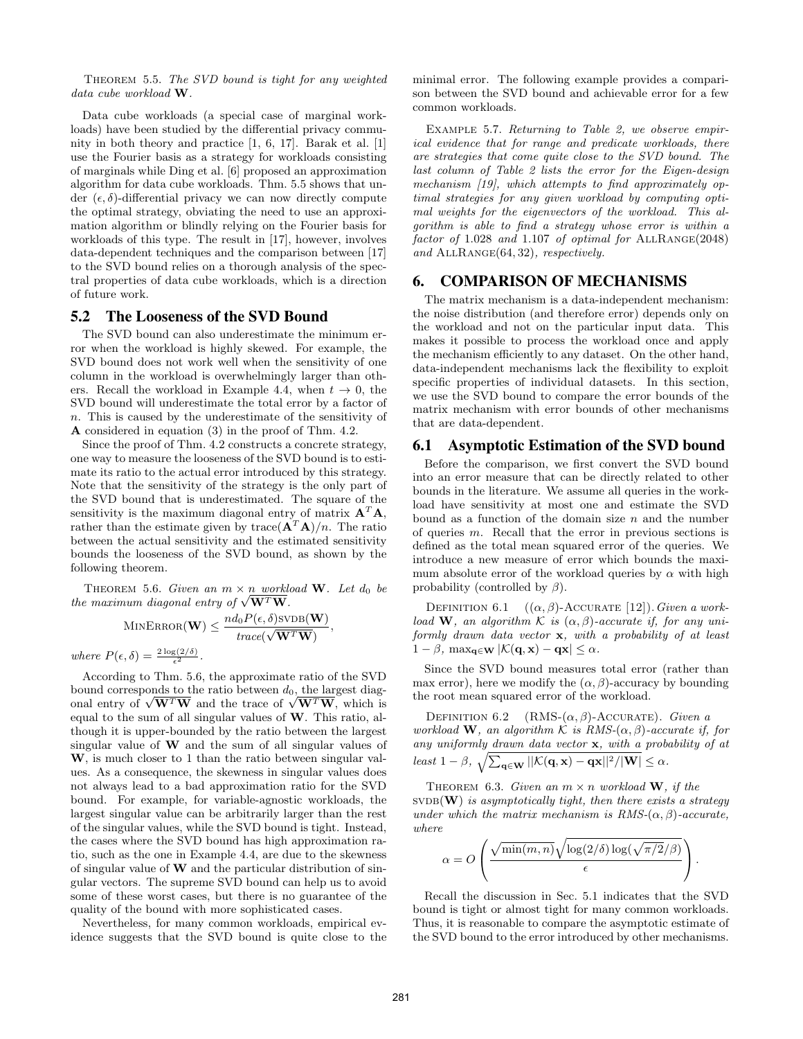THEOREM 5.5. The SVD bound is tight for any weighted data cube workload W.

Data cube workloads (a special case of marginal workloads) have been studied by the differential privacy community in both theory and practice [1, 6, 17]. Barak et al. [1] use the Fourier basis as a strategy for workloads consisting of marginals while Ding et al. [6] proposed an approximation algorithm for data cube workloads. Thm. 5.5 shows that under  $(\epsilon, \delta)$ -differential privacy we can now directly compute the optimal strategy, obviating the need to use an approximation algorithm or blindly relying on the Fourier basis for workloads of this type. The result in [17], however, involves data-dependent techniques and the comparison between [17] to the SVD bound relies on a thorough analysis of the spectral properties of data cube workloads, which is a direction of future work.

## 5.2 The Looseness of the SVD Bound

The SVD bound can also underestimate the minimum error when the workload is highly skewed. For example, the SVD bound does not work well when the sensitivity of one column in the workload is overwhelmingly larger than others. Recall the workload in Example 4.4, when  $t \to 0$ , the SVD bound will underestimate the total error by a factor of n. This is caused by the underestimate of the sensitivity of A considered in equation (3) in the proof of Thm. 4.2.

Since the proof of Thm. 4.2 constructs a concrete strategy, one way to measure the looseness of the SVD bound is to estimate its ratio to the actual error introduced by this strategy. Note that the sensitivity of the strategy is the only part of the SVD bound that is underestimated. The square of the sensitivity is the maximum diagonal entry of matrix  $A^T A$ , rather than the estimate given by trace  $(\mathbf{A}^T \mathbf{A})/n$ . The ratio between the actual sensitivity and the estimated sensitivity bounds the looseness of the SVD bound, as shown by the following theorem.

THEOREM 5.6. Given an  $m \times n$  workload W. Let  $d_0$  be the maximum diagonal entry of  $\sqrt{W^T W}$ .

$$
\text{MINERROR}(\mathbf{W}) \leq \frac{nd_0 P(\epsilon, \delta) \text{SVDB}(\mathbf{W})}{trace(\sqrt{\mathbf{W}^T \mathbf{W}})},
$$

where  $P(\epsilon, \delta) = \frac{2 \log(2/\delta)}{\epsilon^2}$ .

According to Thm. 5.6, the approximate ratio of the SVD bound corresponds to the ratio between  $d_0$ , the largest diagonal entry of  $\sqrt{W^T W}$  and the trace of  $\sqrt{W^T W}$ , which is equal to the sum of all singular values of W. This ratio, although it is upper-bounded by the ratio between the largest singular value of  $W$  and the sum of all singular values of W, is much closer to 1 than the ratio between singular values. As a consequence, the skewness in singular values does not always lead to a bad approximation ratio for the SVD bound. For example, for variable-agnostic workloads, the largest singular value can be arbitrarily larger than the rest of the singular values, while the SVD bound is tight. Instead, the cases where the SVD bound has high approximation ratio, such as the one in Example 4.4, are due to the skewness of singular value of  $W$  and the particular distribution of singular vectors. The supreme SVD bound can help us to avoid some of these worst cases, but there is no guarantee of the quality of the bound with more sophisticated cases.

Nevertheless, for many common workloads, empirical evidence suggests that the SVD bound is quite close to the minimal error. The following example provides a comparison between the SVD bound and achievable error for a few common workloads.

Example 5.7. Returning to Table 2, we observe empirical evidence that for range and predicate workloads, there are strategies that come quite close to the SVD bound. The last column of Table 2 lists the error for the Eigen-design mechanism [19], which attempts to find approximately optimal strategies for any given workload by computing optimal weights for the eigenvectors of the workload. This algorithm is able to find a strategy whose error is within a factor of  $1.028$  and  $1.107$  of optimal for  $ALLRANGE(2048)$ and ALLRANGE(64, 32), respectively.

# 6. COMPARISON OF MECHANISMS

The matrix mechanism is a data-independent mechanism: the noise distribution (and therefore error) depends only on the workload and not on the particular input data. This makes it possible to process the workload once and apply the mechanism efficiently to any dataset. On the other hand, data-independent mechanisms lack the flexibility to exploit specific properties of individual datasets. In this section, we use the SVD bound to compare the error bounds of the matrix mechanism with error bounds of other mechanisms that are data-dependent.

## 6.1 Asymptotic Estimation of the SVD bound

Before the comparison, we first convert the SVD bound into an error measure that can be directly related to other bounds in the literature. We assume all queries in the workload have sensitivity at most one and estimate the SVD bound as a function of the domain size  $n$  and the number of queries m. Recall that the error in previous sections is defined as the total mean squared error of the queries. We introduce a new measure of error which bounds the maximum absolute error of the workload queries by  $\alpha$  with high probability (controlled by  $\beta$ ).

DEFINITION 6.1  $((\alpha, \beta)$ -ACCURATE [12]). Given a workload W, an algorithm K is  $(\alpha, \beta)$ -accurate if, for any uniformly drawn data vector x, with a probability of at least  $1 - \beta$ ,  $\max_{\mathbf{q} \in \mathbf{W}} |\mathcal{K}(\mathbf{q}, \mathbf{x}) - \mathbf{q}\mathbf{x}| \leq \alpha$ .

Since the SVD bound measures total error (rather than max error), here we modify the  $(\alpha, \beta)$ -accuracy by bounding the root mean squared error of the workload.

DEFINITION 6.2 (RMS- $(\alpha, \beta)$ -ACCURATE). Given a workload W, an algorithm K is  $RMS(\alpha, \beta)$ -accurate if, for any uniformly drawn data vector x, with a probability of at least  $1 - \beta$ ,  $\sqrt{\sum_{\mathbf{q} \in \mathbf{W}} ||\mathcal{K}(\mathbf{q}, \mathbf{x}) - \mathbf{q}\mathbf{x}||^2 / |\mathbf{W}|} \leq \alpha$ .

THEOREM 6.3. Given an  $m \times n$  workload W, if the  $SVDB(W)$  is asymptotically tight, then there exists a strategy under which the matrix mechanism is  $RMS(\alpha, \beta)$ -accurate, where

$$
\alpha = O\left(\frac{\sqrt{\min(m,n)}\sqrt{\log(2/\delta)\log(\sqrt{\pi/2}/\beta)}}{\epsilon}\right).
$$

Recall the discussion in Sec. 5.1 indicates that the SVD bound is tight or almost tight for many common workloads. Thus, it is reasonable to compare the asymptotic estimate of the SVD bound to the error introduced by other mechanisms.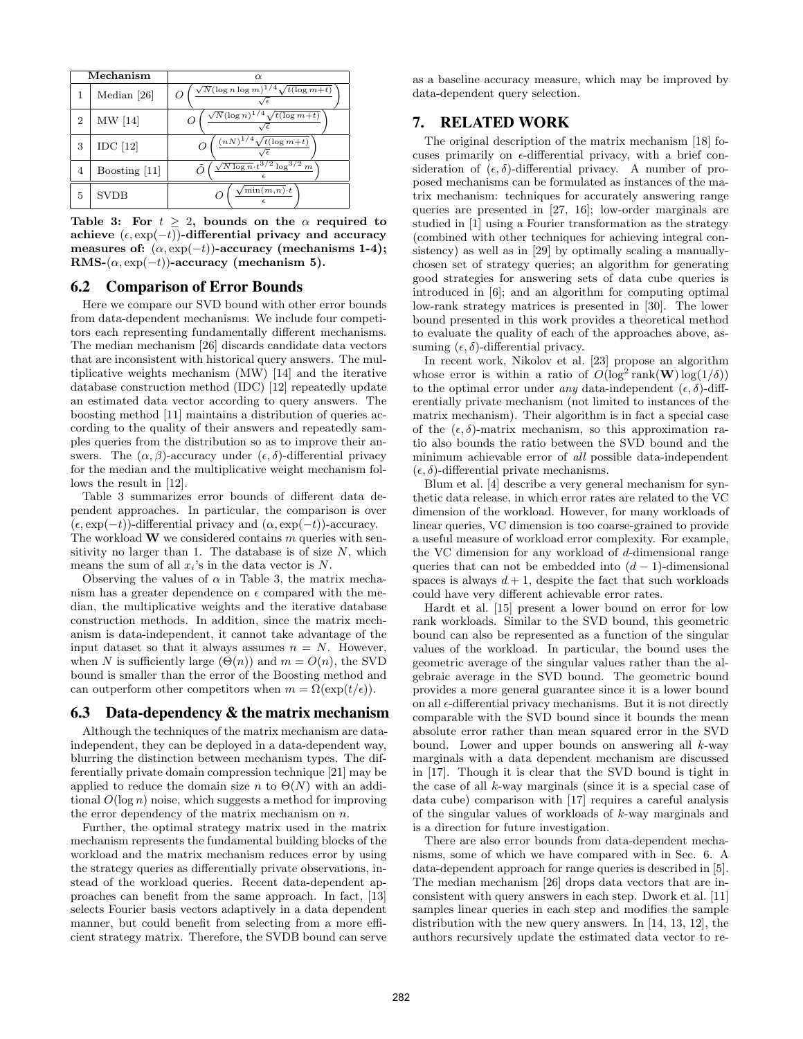| Mechanism |               | $\alpha$                                          |  |  |  |  |
|-----------|---------------|---------------------------------------------------|--|--|--|--|
|           | Median [26]   | $\sqrt{N}(\log n \log m)^{1/4}\sqrt{t(\log m+t)}$ |  |  |  |  |
| 2         | MW [14]       | $\sqrt{N}(\log n)^{1/4}\sqrt{t(\log m+t)}$        |  |  |  |  |
| 3         | $IDC$ [12]    | $(nN)^{1/4}\sqrt{t(\log m+t)}$                    |  |  |  |  |
| 4         | Boosting [11] | $\sqrt{N \log n} \cdot t^{3/2} \log^{3/2} m$      |  |  |  |  |
| 5         | <b>SVDB</b>   | $\sqrt{\min(m,n)}\cdot t$                         |  |  |  |  |

Table 3: For  $t > 2$ , bounds on the  $\alpha$  required to achieve  $(\epsilon, \exp(-t))$ -differential privacy and accuracy measures of:  $(\alpha, \exp(-t))$ -accuracy (mechanisms 1-4); RMS- $(\alpha, \exp(-t))$ -accuracy (mechanism 5).

#### 6.2 Comparison of Error Bounds

Here we compare our SVD bound with other error bounds from data-dependent mechanisms. We include four competitors each representing fundamentally different mechanisms. The median mechanism [26] discards candidate data vectors that are inconsistent with historical query answers. The multiplicative weights mechanism (MW) [14] and the iterative database construction method (IDC) [12] repeatedly update an estimated data vector according to query answers. The boosting method [11] maintains a distribution of queries according to the quality of their answers and repeatedly samples queries from the distribution so as to improve their answers. The  $(\alpha, \beta)$ -accuracy under  $(\epsilon, \delta)$ -differential privacy for the median and the multiplicative weight mechanism follows the result in [12].

Table 3 summarizes error bounds of different data dependent approaches. In particular, the comparison is over  $(\epsilon, \exp(-t))$ -differential privacy and  $(\alpha, \exp(-t))$ -accuracy. The workload  $\bf{W}$  we considered contains m queries with sensitivity no larger than 1. The database is of size  $N$ , which means the sum of all  $x_i$ 's in the data vector is N.

Observing the values of  $\alpha$  in Table 3, the matrix mechanism has a greater dependence on  $\epsilon$  compared with the median, the multiplicative weights and the iterative database construction methods. In addition, since the matrix mechanism is data-independent, it cannot take advantage of the input dataset so that it always assumes  $n = N$ . However, when N is sufficiently large  $(\Theta(n))$  and  $m = O(n)$ , the SVD bound is smaller than the error of the Boosting method and can outperform other competitors when  $m = \Omega(\exp(t/\epsilon)).$ 

## 6.3 Data-dependency & the matrix mechanism

Although the techniques of the matrix mechanism are dataindependent, they can be deployed in a data-dependent way, blurring the distinction between mechanism types. The differentially private domain compression technique [21] may be applied to reduce the domain size n to  $\Theta(N)$  with an additional  $O(\log n)$  noise, which suggests a method for improving the error dependency of the matrix mechanism on  $n$ .

Further, the optimal strategy matrix used in the matrix mechanism represents the fundamental building blocks of the workload and the matrix mechanism reduces error by using the strategy queries as differentially private observations, instead of the workload queries. Recent data-dependent approaches can benefit from the same approach. In fact, [13] selects Fourier basis vectors adaptively in a data dependent manner, but could benefit from selecting from a more efficient strategy matrix. Therefore, the SVDB bound can serve as a baseline accuracy measure, which may be improved by data-dependent query selection.

# 7. RELATED WORK

The original description of the matrix mechanism [18] focuses primarily on  $\epsilon$ -differential privacy, with a brief consideration of  $(\epsilon, \delta)$ -differential privacy. A number of proposed mechanisms can be formulated as instances of the matrix mechanism: techniques for accurately answering range queries are presented in [27, 16]; low-order marginals are studied in [1] using a Fourier transformation as the strategy (combined with other techniques for achieving integral consistency) as well as in [29] by optimally scaling a manuallychosen set of strategy queries; an algorithm for generating good strategies for answering sets of data cube queries is introduced in [6]; and an algorithm for computing optimal low-rank strategy matrices is presented in [30]. The lower bound presented in this work provides a theoretical method to evaluate the quality of each of the approaches above, assuming  $(\epsilon, \delta)$ -differential privacy.

In recent work, Nikolov et al. [23] propose an algorithm whose error is within a ratio of  $O(\log^2 \text{rank}(\mathbf{W}) \log(1/\delta))$ to the optimal error under any data-independent  $(\epsilon, \delta)$ -differentially private mechanism (not limited to instances of the matrix mechanism). Their algorithm is in fact a special case of the  $(\epsilon, \delta)$ -matrix mechanism, so this approximation ratio also bounds the ratio between the SVD bound and the minimum achievable error of all possible data-independent  $(\epsilon, \delta)$ -differential private mechanisms.

Blum et al. [4] describe a very general mechanism for synthetic data release, in which error rates are related to the VC dimension of the workload. However, for many workloads of linear queries, VC dimension is too coarse-grained to provide a useful measure of workload error complexity. For example, the VC dimension for any workload of d-dimensional range queries that can not be embedded into  $(d-1)$ -dimensional spaces is always  $d + 1$ , despite the fact that such workloads could have very different achievable error rates.

Hardt et al. [15] present a lower bound on error for low rank workloads. Similar to the SVD bound, this geometric bound can also be represented as a function of the singular values of the workload. In particular, the bound uses the geometric average of the singular values rather than the algebraic average in the SVD bound. The geometric bound provides a more general guarantee since it is a lower bound on all  $\epsilon$ -differential privacy mechanisms. But it is not directly comparable with the SVD bound since it bounds the mean absolute error rather than mean squared error in the SVD bound. Lower and upper bounds on answering all  $k$ -way marginals with a data dependent mechanism are discussed in [17]. Though it is clear that the SVD bound is tight in the case of all k-way marginals (since it is a special case of data cube) comparison with [17] requires a careful analysis of the singular values of workloads of k-way marginals and is a direction for future investigation.

There are also error bounds from data-dependent mechanisms, some of which we have compared with in Sec. 6. A data-dependent approach for range queries is described in [5]. The median mechanism [26] drops data vectors that are inconsistent with query answers in each step. Dwork et al. [11] samples linear queries in each step and modifies the sample distribution with the new query answers. In [14, 13, 12], the authors recursively update the estimated data vector to re